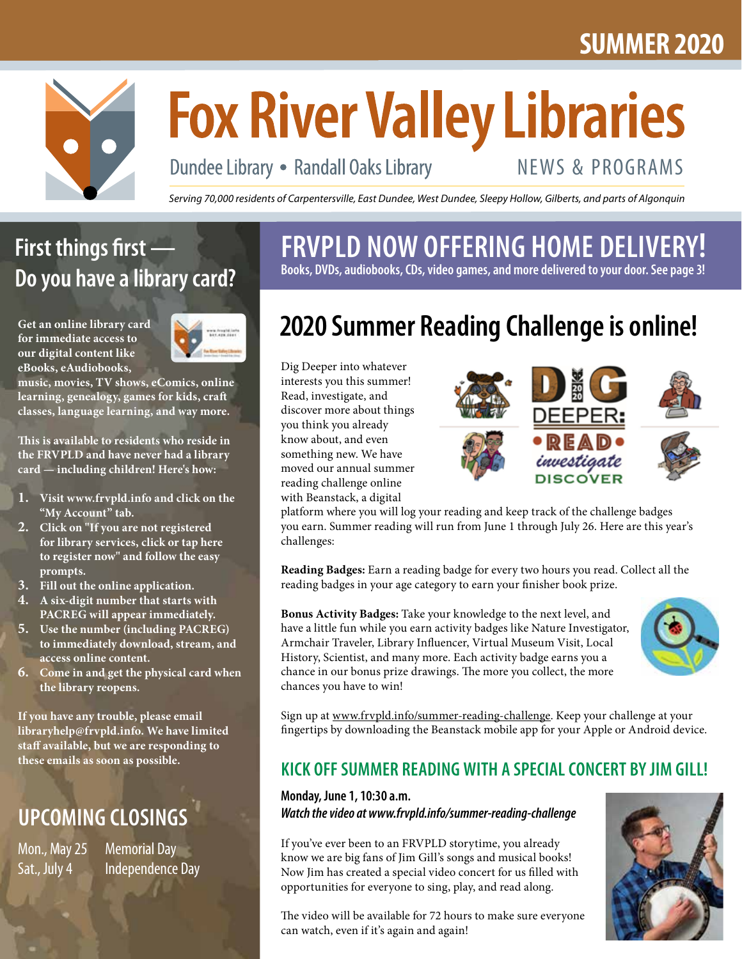## **SUMMER 2020**



# **Fox River Valley Libraries**

Dundee Library • Randall Oaks Library

## NEWS & PROGRAMS

*Serving 70,000 residents of Carpentersville, East Dundee, West Dundee, Sleepy Hollow, Gilberts, and parts of Algonquin*

## **First things first — Do you have a library card?**

**Get an online library card for immediate access to our digital content like eBooks, eAudiobooks,** 



**music, movies, TV shows, eComics, online learning, genealogy, games for kids, craft classes, language learning, and way more.**

**This is available to residents who reside in the FRVPLD and have never had a library card — including children! Here's how:**

- **1. Visit www.frvpld.info and click on the "My Account" tab.**
- **2. Click on "If you are not registered for library services, click or tap here to register now" and follow the easy prompts.**
- **3. Fill out the online application.**
- **4. A six-digit number that starts with PACREG will appear immediately.**
- **5. Use the number (including PACREG) to immediately download, stream, and access online content.**
- **6. Come in and get the physical card when the library reopens.**

**If you have any trouble, please email libraryhelp@frvpld.info. We have limited staff available, but we are responding to these emails as soon as possible.**

## **UPCOMING CLOSINGS**

Mon., May 25 Memorial Day

Sat., July 4 Independence Day

**FRVPLD NOW OFFERING HOME DELIVERY! Books, DVDs, audiobooks, CDs, video games, and more delivered to your door. See page 3!**

## **2020 Summer Reading Challenge is online!**

Dig Deeper into whatever interests you this summer! Read, investigate, and discover more about things you think you already know about, and even something new. We have moved our annual summer reading challenge online with Beanstack, a digital



platform where you will log your reading and keep track of the challenge badges you earn. Summer reading will run from June 1 through July 26. Here are this year's challenges:

**Reading Badges:** Earn a reading badge for every two hours you read. Collect all the reading badges in your age category to earn your finisher book prize.

**Bonus Activity Badges:** Take your knowledge to the next level, and have a little fun while you earn activity badges like Nature Investigator, Armchair Traveler, Library Influencer, Virtual Museum Visit, Local History, Scientist, and many more. Each activity badge earns you a chance in our bonus prize drawings. The more you collect, the more chances you have to win!



Sign up at www.frvpld.info/summer-reading-challenge. Keep your challenge at your fingertips by downloading the Beanstack mobile app for your Apple or Android device.

### **KICK OFF SUMMER READING WITH A SPECIAL CONCERT BY JIM GILL!**

#### **Monday, June 1, 10:30 a.m.** *Watch the video at www.frvpld.info/summer-reading-challenge*

If you've ever been to an FRVPLD storytime, you already know we are big fans of Jim Gill's songs and musical books! Now Jim has created a special video concert for us filled with opportunities for everyone to sing, play, and read along.

The video will be available for 72 hours to make sure everyone can watch, even if it's again and again!

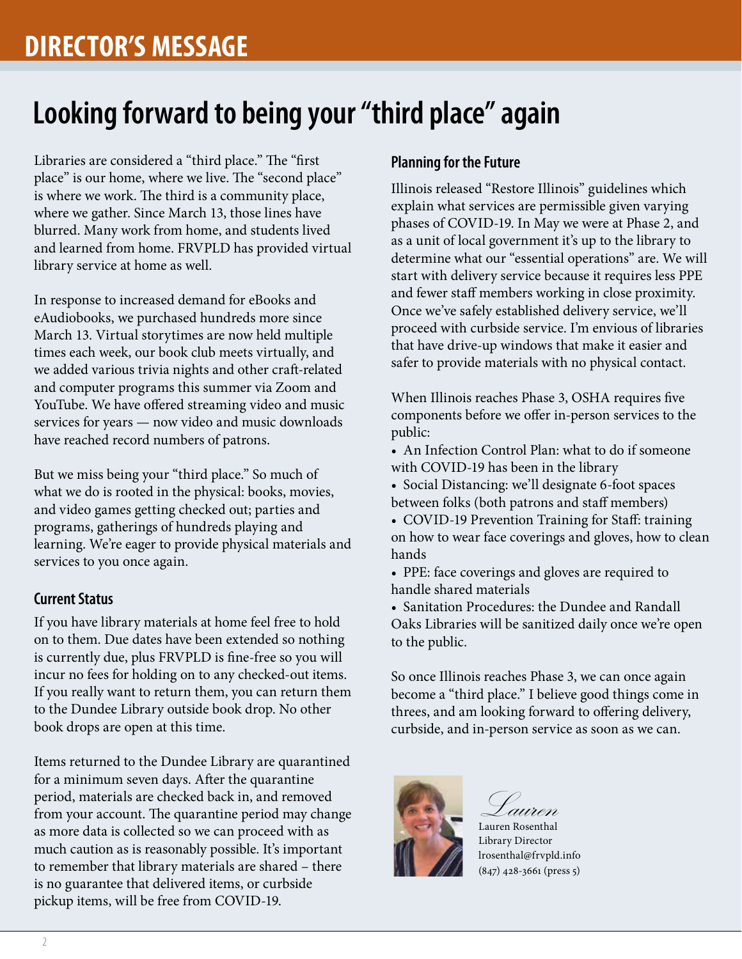## **Looking forward to being your "third place" again**

Libraries are considered a "third place." The "first place" is our home, where we live. The "second place" is where we work. The third is a community place, where we gather. Since March 13, those lines have blurred. Many work from home, and students lived and learned from home. FRVPLD has provided virtual library service at home as well.

In response to increased demand for eBooks and eAudiobooks, we purchased hundreds more since March 13. Virtual storytimes are now held multiple times each week, our book club meets virtually, and we added various trivia nights and other craft-related and computer programs this summer via Zoom and YouTube. We have offered streaming video and music services for years — now video and music downloads have reached record numbers of patrons.

But we miss being your "third place." So much of what we do is rooted in the physical: books, movies, and video games getting checked out; parties and programs, gatherings of hundreds playing and learning. We're eager to provide physical materials and services to you once again.

#### **Current Status**

If you have library materials at home feel free to hold on to them. Due dates have been extended so nothing is currently due, plus FRVPLD is fine-free so you will incur no fees for holding on to any checked-out items. If you really want to return them, you can return them to the Dundee Library outside book drop. No other book drops are open at this time.

Items returned to the Dundee Library are quarantined for a minimum seven days. After the quarantine period, materials are checked back in, and removed from your account. The quarantine period may change as more data is collected so we can proceed with as much caution as is reasonably possible. It's important to remember that library materials are shared – there is no guarantee that delivered items, or curbside pickup items, will be free from COVID-19.

#### **Planning for the Future**

Illinois released "Restore Illinois" guidelines which explain what services are permissible given varying phases of COVID-19. In May we were at Phase 2, and as a unit of local government it's up to the library to determine what our "essential operations" are. We will start with delivery service because it requires less PPE and fewer staff members working in close proximity. Once we've safely established delivery service, we'll proceed with curbside service. I'm envious of libraries that have drive-up windows that make it easier and safer to provide materials with no physical contact.

When Illinois reaches Phase 3, OSHA requires five components before we offer in-person services to the public:

- An Infection Control Plan: what to do if someone with COVID-19 has been in the library
- Social Distancing: we'll designate 6-foot spaces between folks (both patrons and staff members)
- COVID-19 Prevention Training for Staff: training on how to wear face coverings and gloves, how to clean hands
- PPE: face coverings and gloves are required to handle shared materials
- Sanitation Procedures: the Dundee and Randall Oaks Libraries will be sanitized daily once we're open to the public.

So once Illinois reaches Phase 3, we can once again become a "third place." I believe good things come in threes, and am looking forward to offering delivery, curbside, and in-person service as soon as we can.



Lauren Lauren Rosenthal Library Director lrosenthal@frvpld.info (847) 428-3661 (press 5)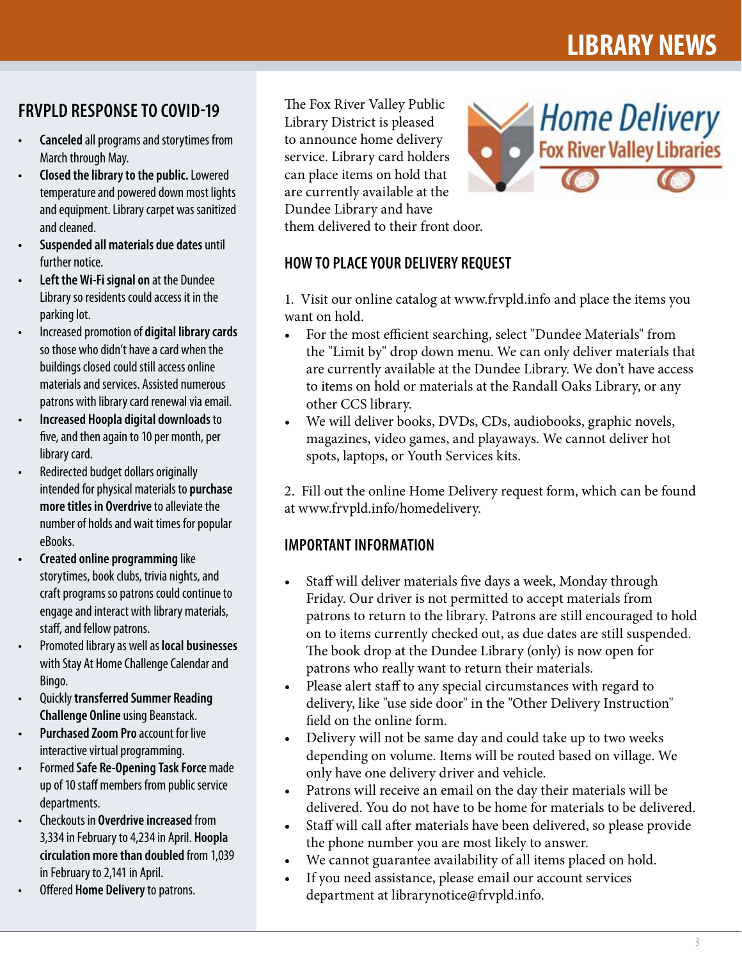### **FRVPLD RESPONSE TO COVID-19**

- **• Canceled** all programs and storytimes from March through May.
- **• Closed the library to the public.** Lowered temperature and powered down most lights and equipment. Library carpet was sanitized and cleaned.
- **• Suspended all materials due dates** until further notice.
- **• Left the Wi-Fi signal on** at the Dundee Library so residents could access it in the parking lot.
- Increased promotion of **digital library cards** so those who didn't have a card when the buildings closed could still access online materials and services. Assisted numerous patrons with library card renewal via email.
- **• Increased Hoopla digital downloads** to five, and then again to 10 per month, per library card.
- Redirected budget dollars originally intended for physical materials to **purchase more titles in Overdrive** to alleviate the number of holds and wait times for popular eBooks.
- **• Created online programming** like storytimes, book clubs, trivia nights, and craft programs so patrons could continue to engage and interact with library materials, staff, and fellow patrons.
- Promoted library as well as **local businesses** with Stay At Home Challenge Calendar and Bingo.
- Quickly **transferred Summer Reading Challenge Online** using Beanstack.
- **Purchased Zoom Pro** account for live interactive virtual programming.
- Formed **Safe Re-Opening Task Force** made up of 10 staff members from public service departments.
- Checkouts in **Overdrive increased** from 3,334 in February to 4,234 in April. **Hoopla circulation more than doubled** from 1,039 in February to 2,141 in April.
- Offered **Home Delivery** to patrons.

The Fox River Valley Public Library District is pleased to announce home delivery service. Library card holders can place items on hold that are currently available at the Dundee Library and have them delivered to their front door.



#### **HOW TO PLACE YOUR DELIVERY REQUEST**

1. Visit our online catalog at www.frvpld.info and place the items you want on hold.

- For the most efficient searching, select "Dundee Materials" from the "Limit by" drop down menu. We can only deliver materials that are currently available at the Dundee Library. We don't have access to items on hold or materials at the Randall Oaks Library, or any other CCS library.
- We will deliver books, DVDs, CDs, audiobooks, graphic novels, magazines, video games, and playaways. We cannot deliver hot spots, laptops, or Youth Services kits.

2. Fill out the online Home Delivery request form, which can be found at www.frvpld.info/homedelivery.

#### **IMPORTANT INFORMATION**

- Staff will deliver materials five days a week, Monday through Friday. Our driver is not permitted to accept materials from patrons to return to the library. Patrons are still encouraged to hold on to items currently checked out, as due dates are still suspended. The book drop at the Dundee Library (only) is now open for patrons who really want to return their materials.
- Please alert staff to any special circumstances with regard to delivery, like "use side door" in the "Other Delivery Instruction" field on the online form.
- Delivery will not be same day and could take up to two weeks depending on volume. Items will be routed based on village. We only have one delivery driver and vehicle.
- Patrons will receive an email on the day their materials will be delivered. You do not have to be home for materials to be delivered.
- Staff will call after materials have been delivered, so please provide the phone number you are most likely to answer.
- We cannot guarantee availability of all items placed on hold.
- If you need assistance, please email our account services department at librarynotice@frvpld.info.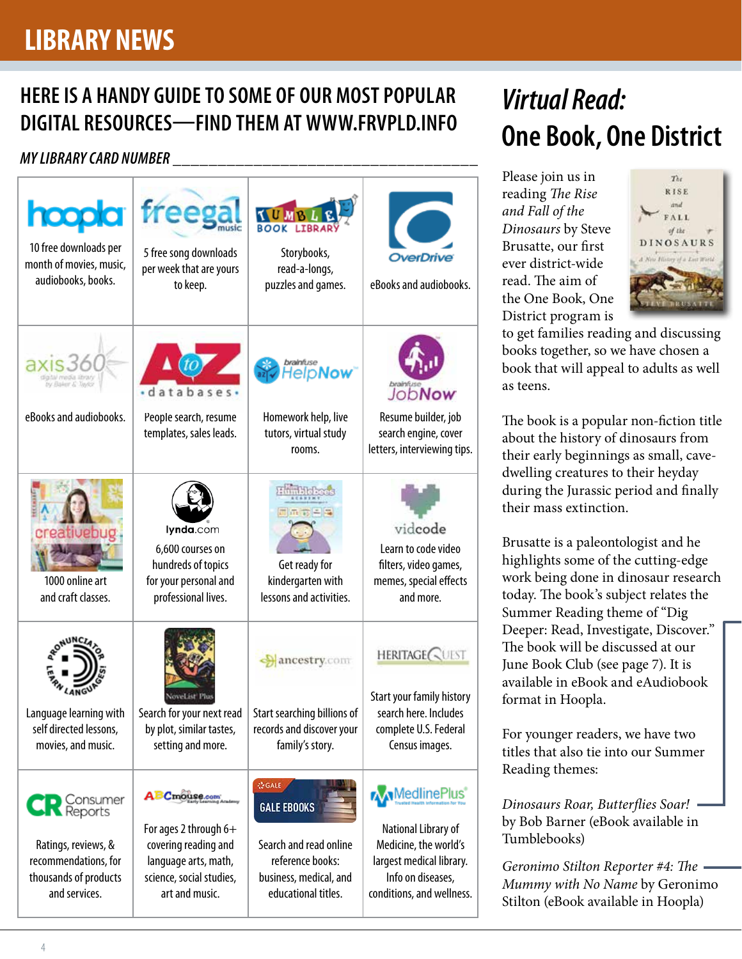## **LIBRARY NEWS**

## **HERE IS A HANDY GUIDE TO SOME OF OUR MOST POPULAR DIGITAL RESOURCES—FIND THEM AT WWW.FRVPLD.INFO**

#### *MY LIBRARY CARD NUMBER* **\_\_\_\_\_\_\_\_\_\_\_\_\_\_\_\_\_\_\_\_\_\_\_\_\_\_\_\_\_\_\_\_\_\_**



## *Virtual Read:*  **One Book, One District**

Please join us in reading *The Rise and Fall of the Dinosaurs* by Steve Brusatte, our first ever district-wide read. The aim of the One Book, One District program is



to get families reading and discussing books together, so we have chosen a book that will appeal to adults as well as teens.

The book is a popular non-fiction title about the history of dinosaurs from their early beginnings as small, cavedwelling creatures to their heyday during the Jurassic period and finally their mass extinction.

Brusatte is a paleontologist and he highlights some of the cutting-edge work being done in dinosaur research today. The book's subject relates the Summer Reading theme of "Dig Deeper: Read, Investigate, Discover." The book will be discussed at our June Book Club (see page 7). It is available in eBook and eAudiobook format in Hoopla.

For younger readers, we have two titles that also tie into our Summer Reading themes:

*Dinosaurs Roar, Butterflies Soar!* by Bob Barner (eBook available in Tumblebooks)

*Geronimo Stilton Reporter #4: The Mummy with No Name* by Geronimo Stilton (eBook available in Hoopla)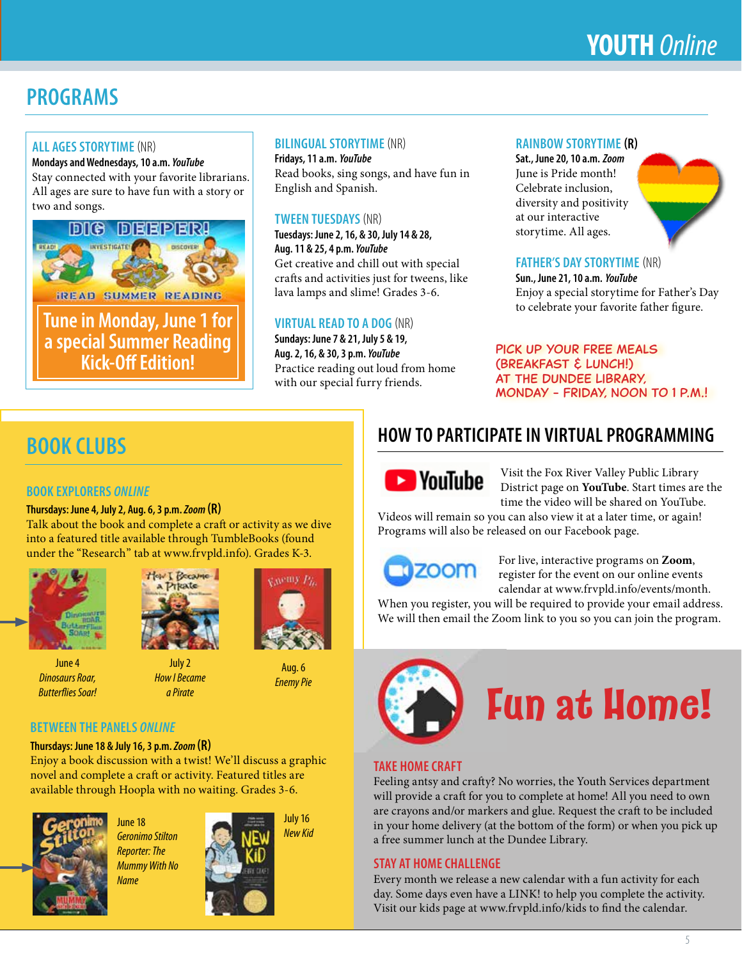## **YOUTH** *Online*

## **PROGRAMS**

#### **ALL AGES STORYTIME** (NR)

**Mondays and Wednesdays, 10 a.m.** *YouTube* Stay connected with your favorite librarians. All ages are sure to have fun with a story or two and songs.



**Tune in Monday, June 1 for a special Summer Reading Kick-Off Edition!**

#### **BILINGUAL STORYTIME** (NR)

**Fridays, 11 a.m.** *YouTube* Read books, sing songs, and have fun in English and Spanish.

#### **TWEEN TUESDAYS** (NR)

**Tuesdays: June 2, 16, & 30, July 14 & 28, Aug. 11 & 25, 4 p.m.** *YouTube* Get creative and chill out with special crafts and activities just for tweens, like lava lamps and slime! Grades 3-6.

#### **VIRTUAL READ TO A DOG** (NR)

**Sundays: June 7 & 21, July 5 & 19, Aug. 2, 16, & 30, 3 p.m.** *YouTube* Practice reading out loud from home with our special furry friends.

#### **RAINBOW STORYTIME (R)**

**Sat., June 20, 10 a.m.** *Zoom* June is Pride month! Celebrate inclusion, diversity and positivity at our interactive storytime. All ages.



**Sun., June 21, 10 a.m.** *YouTube* Enjoy a special storytime for Father's Day to celebrate your favorite father figure.

Pick up your free meals (Breakfast & Lunch!) at the Dundee Library, Monday - Friday, noon to 1 p.m.!

## **BOOK CLUBS**

#### **BOOK EXPLORERS** *ONLINE*

#### **Thursdays: June 4, July 2, Aug. 6, 3 p.m.** *Zoom* **(R)**

Talk about the book and complete a craft or activity as we dive into a featured title available through TumbleBooks (found under the "Research" tab at www.frvpld.info). Grades K-3.



June 4 *Dinosaurs Roar, Butterflies Soar!*



July 2 *How I Became a Pirate*



Aug. 6 *Enemy Pie*

#### **BETWEEN THE PANELS** *ONLINE*

**Thursdays: June 18 & July 16, 3 p.m.** *Zoom* **(R)**

Enjoy a book discussion with a twist! We'll discuss a graphic novel and complete a craft or activity. Featured titles are available through Hoopla with no waiting. Grades 3-6.



June 18 *Geronimo Stilton Reporter: The Mummy With No Name*



July 16

*New Kid*

### **HOW TO PARTICIPATE IN VIRTUAL PROGRAMMING**



Visit the Fox River Valley Public Library District page on **YouTube**. Start times are the time the video will be shared on YouTube.

Videos will remain so you can also view it at a later time, or again! Programs will also be released on our Facebook page.



For live, interactive programs on **Zoom**, register for the event on our online events calendar at www.frvpld.info/events/month.

When you register, you will be required to provide your email address. We will then email the Zoom link to you so you can join the program.



# **Fun at Home!**

#### **TAKE HOME CRAFT**

Feeling antsy and crafty? No worries, the Youth Services department will provide a craft for you to complete at home! All you need to own are crayons and/or markers and glue. Request the craft to be included in your home delivery (at the bottom of the form) or when you pick up a free summer lunch at the Dundee Library.

#### **STAY AT HOME CHALLENGE**

Every month we release a new calendar with a fun activity for each day. Some days even have a LINK! to help you complete the activity. Visit our kids page at www.frvpld.info/kids to find the calendar.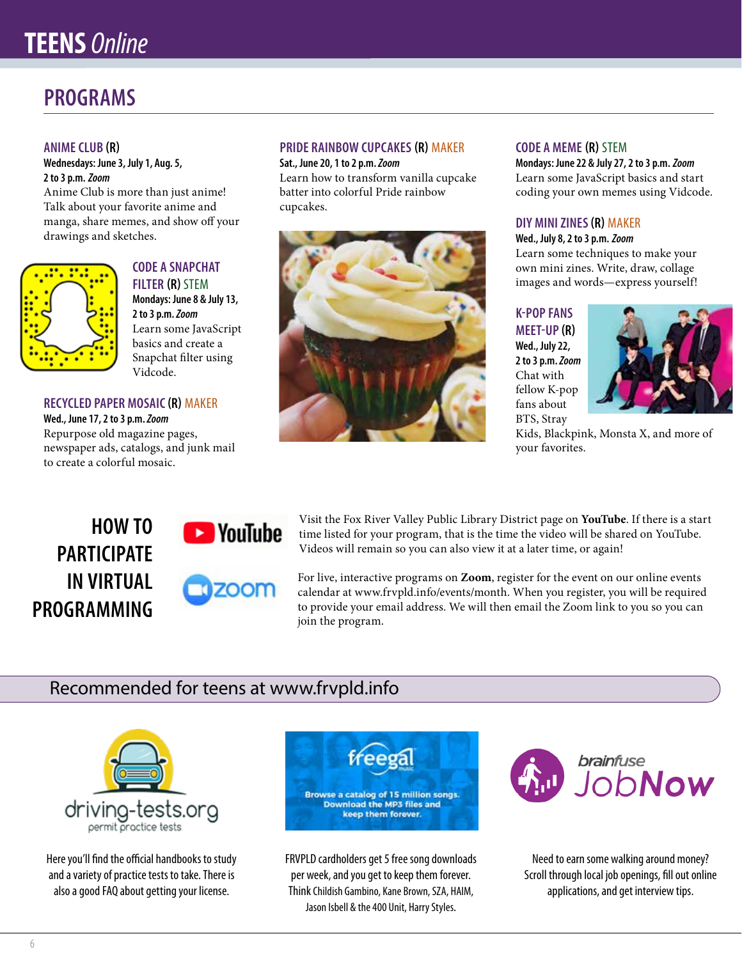## **TEENS** *Online*

### **PROGRAMS**

#### **ANIME CLUB (R)**

**Wednesdays: June 3, July 1, Aug. 5, 2 to 3 p.m.** *Zoom*

Anime Club is more than just anime! Talk about your favorite anime and manga, share memes, and show off your drawings and sketches.



#### **CODE A SNAPCHAT FILTER (R)** STEM **Mondays: June 8 & July 13, 2 to 3 p.m.** *Zoom* Learn some JavaScript basics and create a Snapchat filter using Vidcode.

#### **RECYCLED PAPER MOSAIC (R)** MAKER

**Wed., June 17, 2 to 3 p.m.** *Zoom* Repurpose old magazine pages, newspaper ads, catalogs, and junk mail to create a colorful mosaic.

#### **PRIDE RAINBOW CUPCAKES (R)** MAKER **Sat., June 20, 1 to 2 p.m.** *Zoom*

Learn how to transform vanilla cupcake batter into colorful Pride rainbow cupcakes.



#### **CODE A MEME (R)** STEM

**Mondays: June 22 & July 27, 2 to 3 p.m.** *Zoom* Learn some JavaScript basics and start coding your own memes using Vidcode.

#### **DIY MINI ZINES (R)** MAKER

**Wed., July 8, 2 to 3 p.m.** *Zoom* Learn some techniques to make your own mini zines. Write, draw, collage images and words—express yourself!

#### **K-POP FANS**

**MEET-UP (R) Wed., July 22, 2 to 3 p.m.** *Zoom* Chat with fellow K-pop fans about BTS, Stray



Kids, Blackpink, Monsta X, and more of your favorites.

### **HOW TO PARTICIPATE IN VIRTUAL PROGRAMMING**



Visit the Fox River Valley Public Library District page on **YouTube**. If there is a start time listed for your program, that is the time the video will be shared on YouTube. Videos will remain so you can also view it at a later time, or again!

For live, interactive programs on **Zoom**, register for the event on our online events calendar at www.frvpld.info/events/month. When you register, you will be required to provide your email address. We will then email the Zoom link to you so you can join the program.

### Recommended for teens at www.frvpld.info



Here you'll find the official handbooks to study and a variety of practice tests to take. There is also a good FAQ about getting your license.



FRVPLD cardholders get 5 free song downloads per week, and you get to keep them forever. Think Childish Gambino, Kane Brown, SZA, HAIM, Jason Isbell & the 400 Unit, Harry Styles.



Need to earn some walking around money? Scroll through local job openings, fill out online applications, and get interview tips.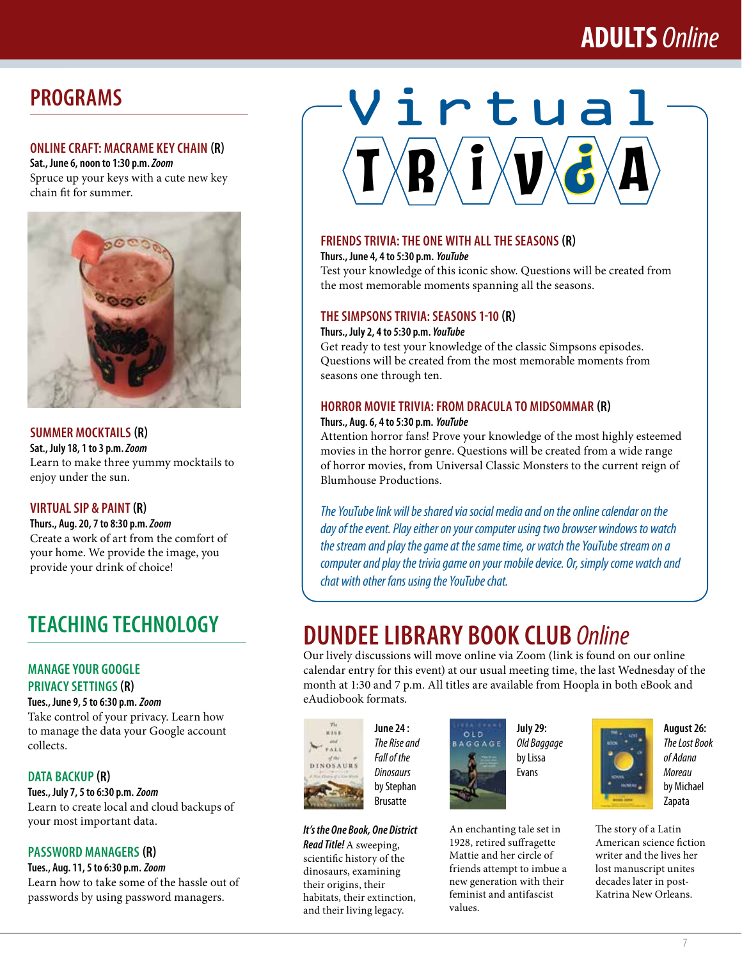## **ADULTS** *Online*

### **PROGRAMS**

#### **ONLINE CRAFT: MACRAME KEY CHAIN (R)**

**Sat., June 6, noon to 1:30 p.m.** *Zoom* Spruce up your keys with a cute new key chain fit for summer.



#### **SUMMER MOCKTAILS (R)**

**Sat., July 18, 1 to 3 p.m.** *Zoom* Learn to make three yummy mocktails to enjoy under the sun.

#### **VIRTUAL SIP & PAINT (R)**

**Thurs., Aug. 20, 7 to 8:30 p.m.** *Zoom* Create a work of art from the comfort of your home. We provide the image, you provide your drink of choice!

## **TEACHING TECHNOLOGY**

#### **MANAGE YOUR GOOGLE PRIVACY SETTINGS (R)**

**Tues., June 9, 5 to 6:30 p.m.** *Zoom* Take control of your privacy. Learn how to manage the data your Google account collects.

#### **DATA BACKUP (R)**

**Tues., July 7, 5 to 6:30 p.m.** *Zoom* Learn to create local and cloud backups of your most important data.

#### **PASSWORD MANAGERS (R)**

**Tues., Aug. 11, 5 to 6:30 p.m.** *Zoom* Learn how to take some of the hassle out of passwords by using password managers.

# $\mathbf{I} \times \mathbf{B} \times \mathbf{I} \times \mathbf{V} \times \mathbf{B} \times \mathbf{A}$ Virtual

#### **FRIENDS TRIVIA: THE ONE WITH ALL THE SEASONS (R)**

**Thurs., June 4, 4 to 5:30 p.m.** *YouTube*

Test your knowledge of this iconic show. Questions will be created from the most memorable moments spanning all the seasons.

#### **THE SIMPSONS TRIVIA: SEASONS 1-10 (R)**

**Thurs., July 2, 4 to 5:30 p.m.** *YouTube*

Get ready to test your knowledge of the classic Simpsons episodes. Questions will be created from the most memorable moments from seasons one through ten.

#### **HORROR MOVIE TRIVIA: FROM DRACULA TO MIDSOMMAR (R)**

#### **Thurs., Aug. 6, 4 to 5:30 p.m.** *YouTube*

Attention horror fans! Prove your knowledge of the most highly esteemed movies in the horror genre. Questions will be created from a wide range of horror movies, from Universal Classic Monsters to the current reign of Blumhouse Productions.

*The YouTube link will be shared via social media and on the online calendar on the day of the event. Play either on your computer using two browser windows to watch the stream and play the game at the same time, or watch the YouTube stream on a computer and play the trivia game on your mobile device. Or, simply come watch and chat with other fans using the YouTube chat.*

## **DUNDEE LIBRARY BOOK CLUB** *Online*

Our lively discussions will move online via Zoom (link is found on our online calendar entry for this event) at our usual meeting time, the last Wednesday of the month at 1:30 and 7 p.m. All titles are available from Hoopla in both eBook and eAudiobook formats.



their origins, their habitats, their extinction, and their living legacy.

**June 24 :**  *The Rise and Fall of the Dinosaurs* by Stephan Brusatte



values.

**July 29:**  *Old Baggage* by Lissa Evans





**August 26:**  *The Lost Book of Adana Moreau*  by Michael Zapata

The story of a Latin American science fiction writer and the lives her lost manuscript unites decades later in post-Katrina New Orleans.

*It's the One Book, One District Read Title!* A sweeping, scientific history of the dinosaurs, examining